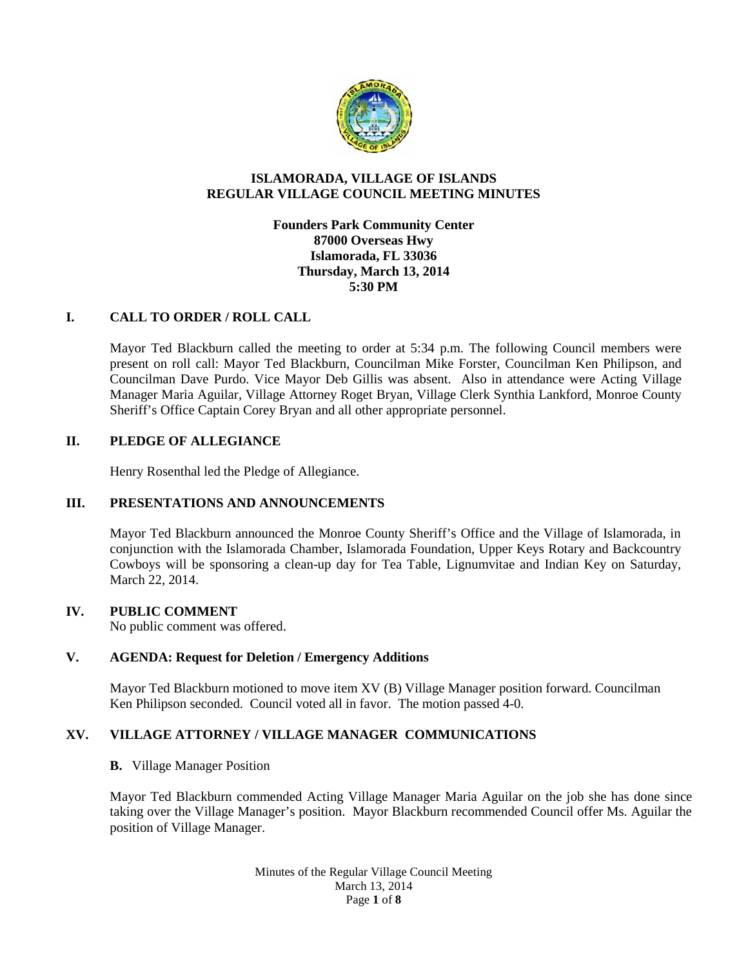

# **ISLAMORADA, VILLAGE OF ISLANDS REGULAR VILLAGE COUNCIL MEETING MINUTES**

# **Founders Park Community Center 87000 Overseas Hwy Islamorada, FL 33036 Thursday, March 13, 2014 5:30 PM**

# **I. CALL TO ORDER / ROLL CALL**

Mayor Ted Blackburn called the meeting to order at 5:34 p.m. The following Council members were present on roll call: Mayor Ted Blackburn, Councilman Mike Forster, Councilman Ken Philipson, and Councilman Dave Purdo. Vice Mayor Deb Gillis was absent. Also in attendance were Acting Village Manager Maria Aguilar, Village Attorney Roget Bryan, Village Clerk Synthia Lankford, Monroe County Sheriff's Office Captain Corey Bryan and all other appropriate personnel.

### **II. PLEDGE OF ALLEGIANCE**

Henry Rosenthal led the Pledge of Allegiance.

# **III. PRESENTATIONS AND ANNOUNCEMENTS**

Mayor Ted Blackburn announced the Monroe County Sheriff's Office and the Village of Islamorada, in conjunction with the Islamorada Chamber, Islamorada Foundation, Upper Keys Rotary and Backcountry Cowboys will be sponsoring a clean-up day for Tea Table, Lignumvitae and Indian Key on Saturday, March 22, 2014.

# **IV. PUBLIC COMMENT**

No public comment was offered.

### **V. AGENDA: Request for Deletion / Emergency Additions**

Mayor Ted Blackburn motioned to move item XV (B) Village Manager position forward. Councilman Ken Philipson seconded. Council voted all in favor. The motion passed 4-0.

# **XV. VILLAGE ATTORNEY / VILLAGE MANAGER COMMUNICATIONS**

#### **B.** Village Manager Position

Mayor Ted Blackburn commended Acting Village Manager Maria Aguilar on the job she has done since taking over the Village Manager's position. Mayor Blackburn recommended Council offer Ms. Aguilar the position of Village Manager.

> Minutes of the Regular Village Council Meeting March 13, 2014 Page **1** of **8**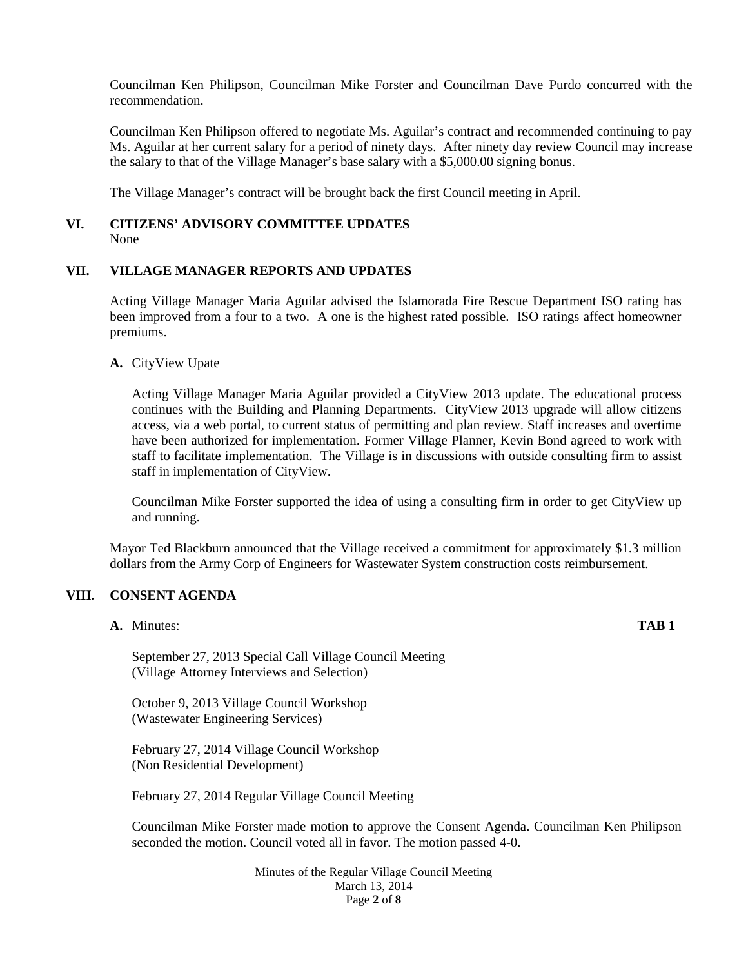Councilman Ken Philipson, Councilman Mike Forster and Councilman Dave Purdo concurred with the recommendation.

Councilman Ken Philipson offered to negotiate Ms. Aguilar's contract and recommended continuing to pay Ms. Aguilar at her current salary for a period of ninety days. After ninety day review Council may increase the salary to that of the Village Manager's base salary with a \$5,000.00 signing bonus.

The Village Manager's contract will be brought back the first Council meeting in April.

# **VI. CITIZENS' ADVISORY COMMITTEE UPDATES**

None

# **VII. VILLAGE MANAGER REPORTS AND UPDATES**

Acting Village Manager Maria Aguilar advised the Islamorada Fire Rescue Department ISO rating has been improved from a four to a two. A one is the highest rated possible. ISO ratings affect homeowner premiums.

**A.** CityView Upate

Acting Village Manager Maria Aguilar provided a CityView 2013 update. The educational process continues with the Building and Planning Departments. CityView 2013 upgrade will allow citizens access, via a web portal, to current status of permitting and plan review. Staff increases and overtime have been authorized for implementation. Former Village Planner, Kevin Bond agreed to work with staff to facilitate implementation. The Village is in discussions with outside consulting firm to assist staff in implementation of CityView.

Councilman Mike Forster supported the idea of using a consulting firm in order to get CityView up and running.

Mayor Ted Blackburn announced that the Village received a commitment for approximately \$1.3 million dollars from the Army Corp of Engineers for Wastewater System construction costs reimbursement.

# **VIII. CONSENT AGENDA**

**A.** Minutes: **TAB 1**

September 27, 2013 Special Call Village Council Meeting (Village Attorney Interviews and Selection)

October 9, 2013 Village Council Workshop (Wastewater Engineering Services)

February 27, 2014 Village Council Workshop (Non Residential Development)

February 27, 2014 Regular Village Council Meeting

Councilman Mike Forster made motion to approve the Consent Agenda. Councilman Ken Philipson seconded the motion. Council voted all in favor. The motion passed 4-0.

> Minutes of the Regular Village Council Meeting March 13, 2014 Page **2** of **8**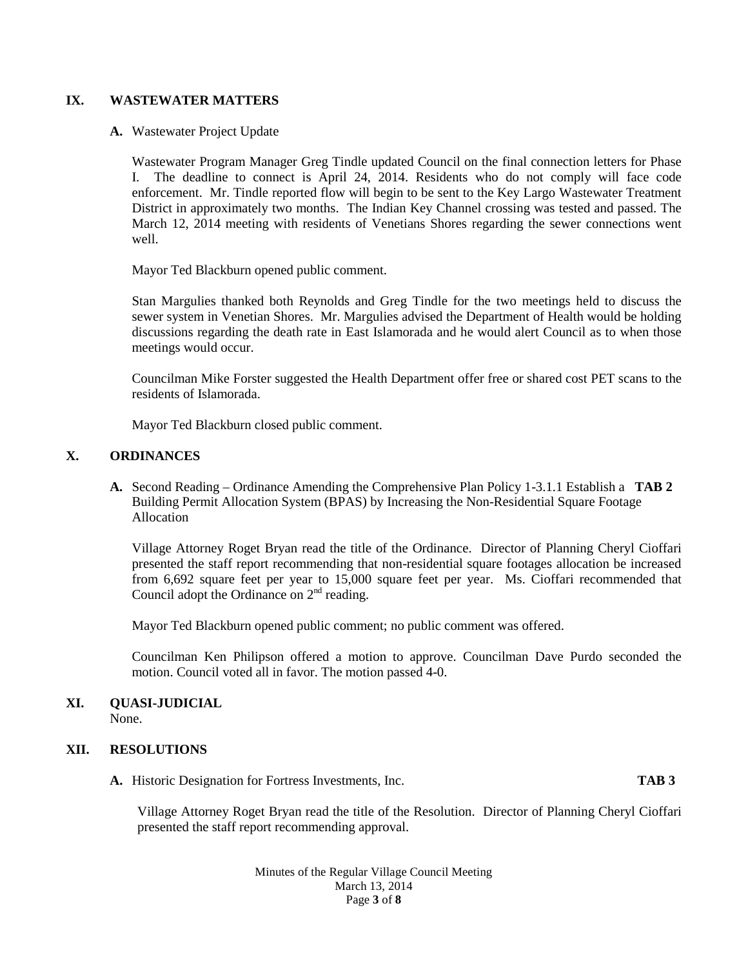# **IX. WASTEWATER MATTERS**

#### **A.** Wastewater Project Update

Wastewater Program Manager Greg Tindle updated Council on the final connection letters for Phase I. The deadline to connect is April 24, 2014. Residents who do not comply will face code enforcement. Mr. Tindle reported flow will begin to be sent to the Key Largo Wastewater Treatment District in approximately two months. The Indian Key Channel crossing was tested and passed. The March 12, 2014 meeting with residents of Venetians Shores regarding the sewer connections went well.

Mayor Ted Blackburn opened public comment.

Stan Margulies thanked both Reynolds and Greg Tindle for the two meetings held to discuss the sewer system in Venetian Shores. Mr. Margulies advised the Department of Health would be holding discussions regarding the death rate in East Islamorada and he would alert Council as to when those meetings would occur.

Councilman Mike Forster suggested the Health Department offer free or shared cost PET scans to the residents of Islamorada.

Mayor Ted Blackburn closed public comment.

### **X. ORDINANCES**

**A.** Second Reading – Ordinance Amending the Comprehensive Plan Policy 1-3.1.1 Establish a **TAB 2** Building Permit Allocation System (BPAS) by Increasing the Non-Residential Square Footage Allocation

Village Attorney Roget Bryan read the title of the Ordinance. Director of Planning Cheryl Cioffari presented the staff report recommending that non-residential square footages allocation be increased from 6,692 square feet per year to 15,000 square feet per year. Ms. Cioffari recommended that Council adopt the Ordinance on  $2<sup>nd</sup>$  reading.

Mayor Ted Blackburn opened public comment; no public comment was offered.

Councilman Ken Philipson offered a motion to approve. Councilman Dave Purdo seconded the motion. Council voted all in favor. The motion passed 4-0.

# **XI. QUASI-JUDICIAL**

None.

# **XII. RESOLUTIONS**

**A.** Historic Designation for Fortress Investments, Inc. **TAB 3**

Village Attorney Roget Bryan read the title of the Resolution. Director of Planning Cheryl Cioffari presented the staff report recommending approval.

> Minutes of the Regular Village Council Meeting March 13, 2014 Page **3** of **8**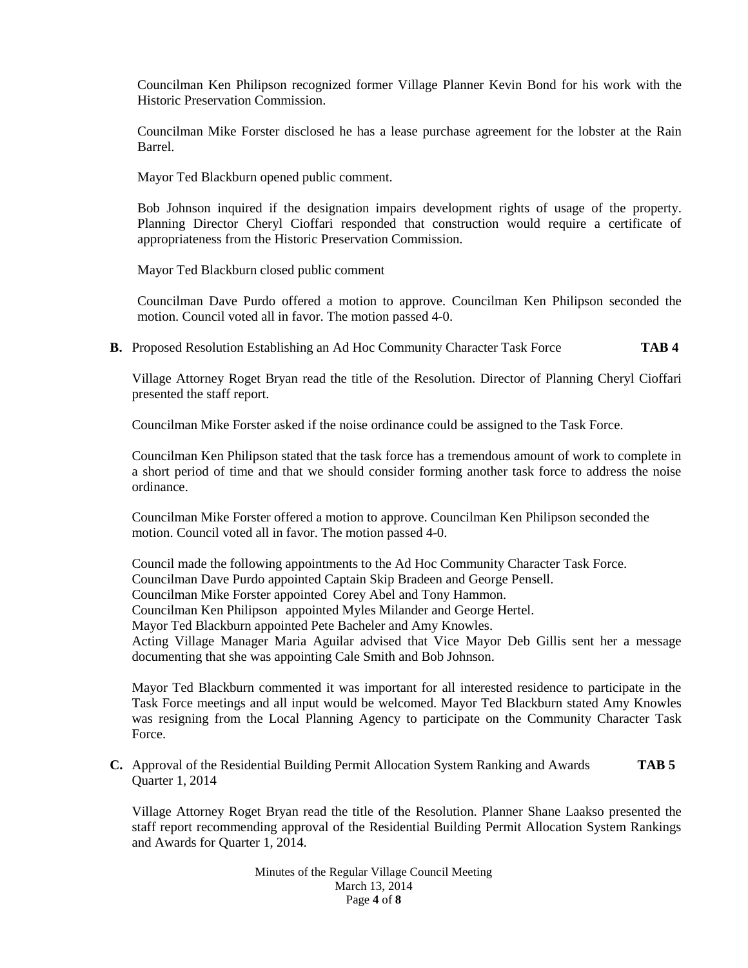Councilman Ken Philipson recognized former Village Planner Kevin Bond for his work with the Historic Preservation Commission.

Councilman Mike Forster disclosed he has a lease purchase agreement for the lobster at the Rain Barrel.

Mayor Ted Blackburn opened public comment.

Bob Johnson inquired if the designation impairs development rights of usage of the property. Planning Director Cheryl Cioffari responded that construction would require a certificate of appropriateness from the Historic Preservation Commission.

Mayor Ted Blackburn closed public comment

Councilman Dave Purdo offered a motion to approve. Councilman Ken Philipson seconded the motion. Council voted all in favor. The motion passed 4-0.

**B.** Proposed Resolution Establishing an Ad Hoc Community Character Task Force **TAB 4**

Village Attorney Roget Bryan read the title of the Resolution. Director of Planning Cheryl Cioffari presented the staff report.

Councilman Mike Forster asked if the noise ordinance could be assigned to the Task Force.

Councilman Ken Philipson stated that the task force has a tremendous amount of work to complete in a short period of time and that we should consider forming another task force to address the noise ordinance.

Councilman Mike Forster offered a motion to approve. Councilman Ken Philipson seconded the motion. Council voted all in favor. The motion passed 4-0.

Council made the following appointments to the Ad Hoc Community Character Task Force. Councilman Dave Purdo appointed Captain Skip Bradeen and George Pensell. Councilman Mike Forster appointed Corey Abel and Tony Hammon. Councilman Ken Philipson appointed Myles Milander and George Hertel. Mayor Ted Blackburn appointed Pete Bacheler and Amy Knowles. Acting Village Manager Maria Aguilar advised that Vice Mayor Deb Gillis sent her a message documenting that she was appointing Cale Smith and Bob Johnson.

Mayor Ted Blackburn commented it was important for all interested residence to participate in the Task Force meetings and all input would be welcomed. Mayor Ted Blackburn stated Amy Knowles was resigning from the Local Planning Agency to participate on the Community Character Task Force.

**C.** Approval of the Residential Building Permit Allocation System Ranking and Awards **TAB 5** Quarter 1, 2014

Village Attorney Roget Bryan read the title of the Resolution. Planner Shane Laakso presented the staff report recommending approval of the Residential Building Permit Allocation System Rankings and Awards for Quarter 1, 2014.

> Minutes of the Regular Village Council Meeting March 13, 2014 Page **4** of **8**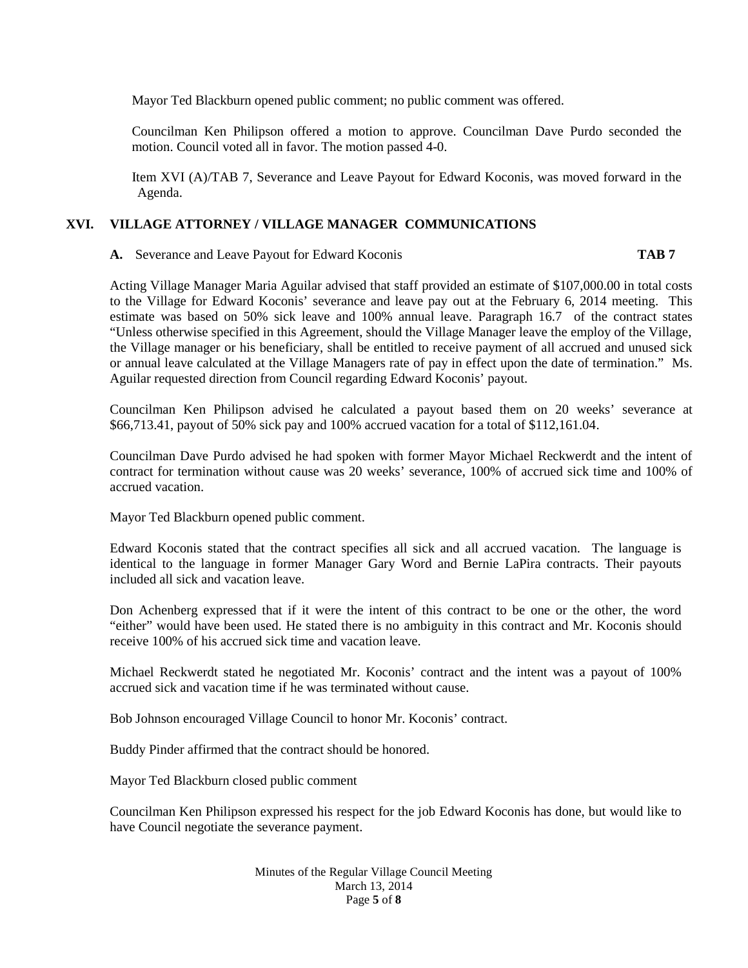Mayor Ted Blackburn opened public comment; no public comment was offered.

Councilman Ken Philipson offered a motion to approve. Councilman Dave Purdo seconded the motion. Council voted all in favor. The motion passed 4-0.

Item XVI (A)/TAB 7, Severance and Leave Payout for Edward Koconis, was moved forward in the Agenda.

# **XVI. VILLAGE ATTORNEY / VILLAGE MANAGER COMMUNICATIONS**

**A.** Severance and Leave Payout for Edward Koconis **TAB 7**

Acting Village Manager Maria Aguilar advised that staff provided an estimate of \$107,000.00 in total costs to the Village for Edward Koconis' severance and leave pay out at the February 6, 2014 meeting. This estimate was based on 50% sick leave and 100% annual leave. Paragraph 16.7 of the contract states "Unless otherwise specified in this Agreement, should the Village Manager leave the employ of the Village, the Village manager or his beneficiary, shall be entitled to receive payment of all accrued and unused sick or annual leave calculated at the Village Managers rate of pay in effect upon the date of termination." Ms. Aguilar requested direction from Council regarding Edward Koconis' payout.

Councilman Ken Philipson advised he calculated a payout based them on 20 weeks' severance at \$66,713.41, payout of 50% sick pay and 100% accrued vacation for a total of \$112,161.04.

Councilman Dave Purdo advised he had spoken with former Mayor Michael Reckwerdt and the intent of contract for termination without cause was 20 weeks' severance, 100% of accrued sick time and 100% of accrued vacation.

Mayor Ted Blackburn opened public comment.

Edward Koconis stated that the contract specifies all sick and all accrued vacation. The language is identical to the language in former Manager Gary Word and Bernie LaPira contracts. Their payouts included all sick and vacation leave.

Don Achenberg expressed that if it were the intent of this contract to be one or the other, the word "either" would have been used. He stated there is no ambiguity in this contract and Mr. Koconis should receive 100% of his accrued sick time and vacation leave.

Michael Reckwerdt stated he negotiated Mr. Koconis' contract and the intent was a payout of 100% accrued sick and vacation time if he was terminated without cause.

Bob Johnson encouraged Village Council to honor Mr. Koconis' contract.

Buddy Pinder affirmed that the contract should be honored.

Mayor Ted Blackburn closed public comment

Councilman Ken Philipson expressed his respect for the job Edward Koconis has done, but would like to have Council negotiate the severance payment.

> Minutes of the Regular Village Council Meeting March 13, 2014 Page **5** of **8**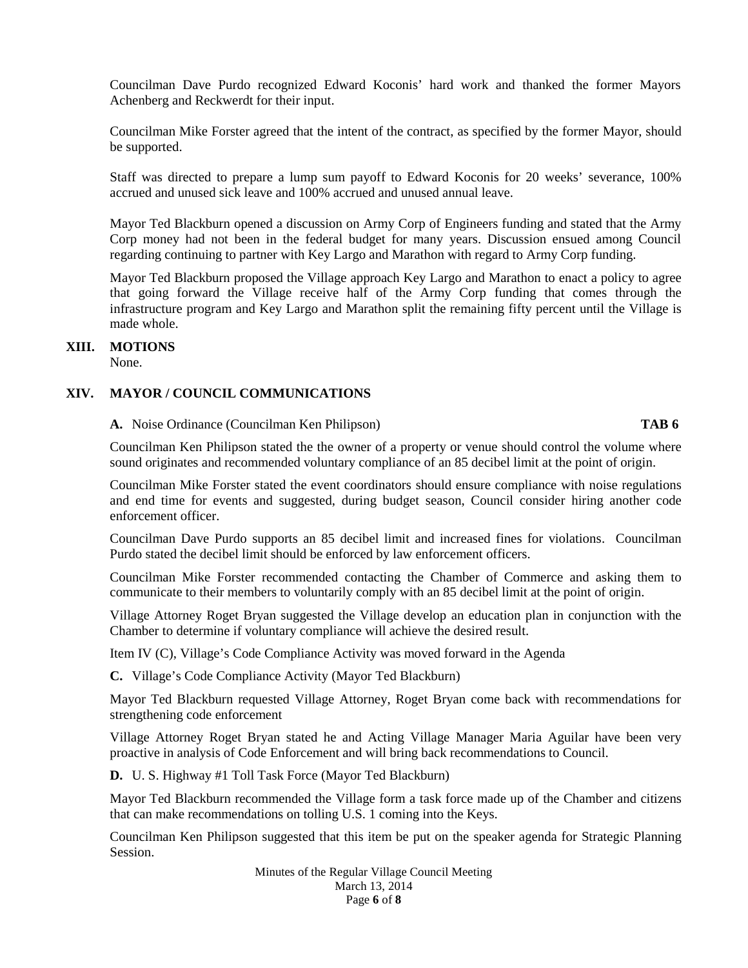Councilman Dave Purdo recognized Edward Koconis' hard work and thanked the former Mayors Achenberg and Reckwerdt for their input.

Councilman Mike Forster agreed that the intent of the contract, as specified by the former Mayor, should be supported.

Staff was directed to prepare a lump sum payoff to Edward Koconis for 20 weeks' severance, 100% accrued and unused sick leave and 100% accrued and unused annual leave.

Mayor Ted Blackburn opened a discussion on Army Corp of Engineers funding and stated that the Army Corp money had not been in the federal budget for many years. Discussion ensued among Council regarding continuing to partner with Key Largo and Marathon with regard to Army Corp funding.

Mayor Ted Blackburn proposed the Village approach Key Largo and Marathon to enact a policy to agree that going forward the Village receive half of the Army Corp funding that comes through the infrastructure program and Key Largo and Marathon split the remaining fifty percent until the Village is made whole.

# **XIII. MOTIONS**

None.

# **XIV. MAYOR / COUNCIL COMMUNICATIONS**

# **A.** Noise Ordinance (Councilman Ken Philipson) **TAB 6**

Councilman Ken Philipson stated the the owner of a property or venue should control the volume where sound originates and recommended voluntary compliance of an 85 decibel limit at the point of origin.

Councilman Mike Forster stated the event coordinators should ensure compliance with noise regulations and end time for events and suggested, during budget season, Council consider hiring another code enforcement officer.

Councilman Dave Purdo supports an 85 decibel limit and increased fines for violations. Councilman Purdo stated the decibel limit should be enforced by law enforcement officers.

Councilman Mike Forster recommended contacting the Chamber of Commerce and asking them to communicate to their members to voluntarily comply with an 85 decibel limit at the point of origin.

Village Attorney Roget Bryan suggested the Village develop an education plan in conjunction with the Chamber to determine if voluntary compliance will achieve the desired result.

Item IV (C), Village's Code Compliance Activity was moved forward in the Agenda

**C.** Village's Code Compliance Activity (Mayor Ted Blackburn)

Mayor Ted Blackburn requested Village Attorney, Roget Bryan come back with recommendations for strengthening code enforcement

Village Attorney Roget Bryan stated he and Acting Village Manager Maria Aguilar have been very proactive in analysis of Code Enforcement and will bring back recommendations to Council.

**D.** U. S. Highway #1 Toll Task Force (Mayor Ted Blackburn)

Mayor Ted Blackburn recommended the Village form a task force made up of the Chamber and citizens that can make recommendations on tolling U.S. 1 coming into the Keys.

Councilman Ken Philipson suggested that this item be put on the speaker agenda for Strategic Planning Session.

> Minutes of the Regular Village Council Meeting March 13, 2014 Page **6** of **8**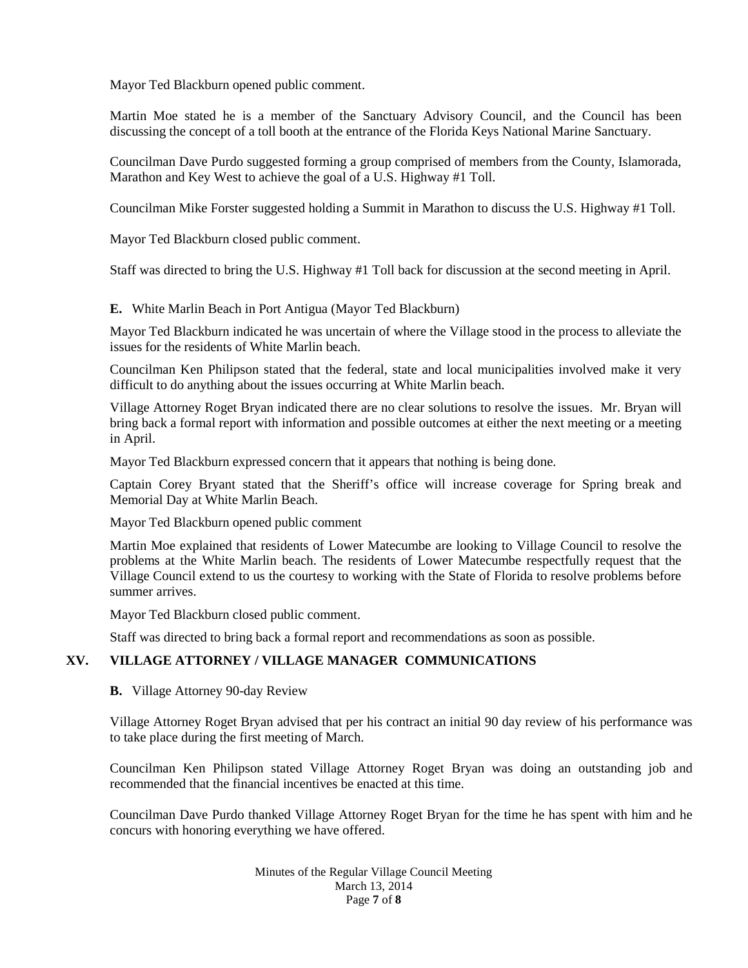Mayor Ted Blackburn opened public comment.

Martin Moe stated he is a member of the Sanctuary Advisory Council, and the Council has been discussing the concept of a toll booth at the entrance of the Florida Keys National Marine Sanctuary.

Councilman Dave Purdo suggested forming a group comprised of members from the County, Islamorada, Marathon and Key West to achieve the goal of a U.S. Highway #1 Toll.

Councilman Mike Forster suggested holding a Summit in Marathon to discuss the U.S. Highway #1 Toll.

Mayor Ted Blackburn closed public comment.

Staff was directed to bring the U.S. Highway #1 Toll back for discussion at the second meeting in April.

**E.** White Marlin Beach in Port Antigua (Mayor Ted Blackburn)

Mayor Ted Blackburn indicated he was uncertain of where the Village stood in the process to alleviate the issues for the residents of White Marlin beach.

Councilman Ken Philipson stated that the federal, state and local municipalities involved make it very difficult to do anything about the issues occurring at White Marlin beach.

Village Attorney Roget Bryan indicated there are no clear solutions to resolve the issues. Mr. Bryan will bring back a formal report with information and possible outcomes at either the next meeting or a meeting in April.

Mayor Ted Blackburn expressed concern that it appears that nothing is being done.

Captain Corey Bryant stated that the Sheriff's office will increase coverage for Spring break and Memorial Day at White Marlin Beach.

Mayor Ted Blackburn opened public comment

Martin Moe explained that residents of Lower Matecumbe are looking to Village Council to resolve the problems at the White Marlin beach. The residents of Lower Matecumbe respectfully request that the Village Council extend to us the courtesy to working with the State of Florida to resolve problems before summer arrives.

Mayor Ted Blackburn closed public comment.

Staff was directed to bring back a formal report and recommendations as soon as possible.

# **XV. VILLAGE ATTORNEY / VILLAGE MANAGER COMMUNICATIONS**

#### **B.** Village Attorney 90-day Review

Village Attorney Roget Bryan advised that per his contract an initial 90 day review of his performance was to take place during the first meeting of March.

Councilman Ken Philipson stated Village Attorney Roget Bryan was doing an outstanding job and recommended that the financial incentives be enacted at this time.

Councilman Dave Purdo thanked Village Attorney Roget Bryan for the time he has spent with him and he concurs with honoring everything we have offered.

> Minutes of the Regular Village Council Meeting March 13, 2014 Page **7** of **8**